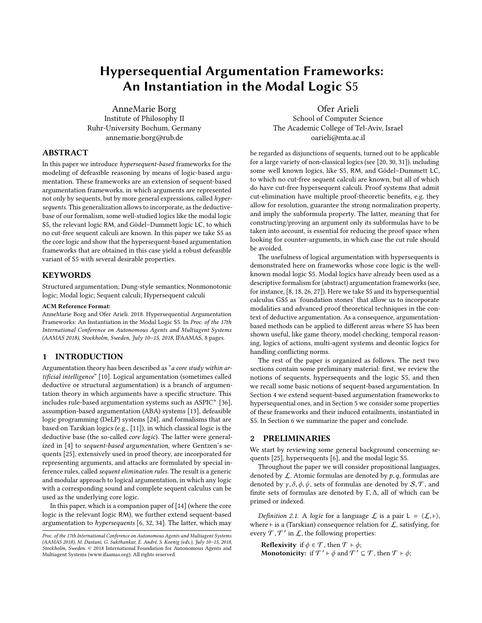# Hypersequential Argumentation Frameworks: An Instantiation in the Modal Logic S5

AnneMarie Borg Institute of Philosophy II Ruhr-University Bochum, Germany annemarie.borg@rub.de

Ofer Arieli School of Computer Science The Academic College of Tel-Aviv, Israel oarieli@mta.ac.il

# ABSTRACT

In this paper we introduce hypersequent-based frameworks for the modeling of defeasible reasoning by means of logic-based argumentation. These frameworks are an extension of sequent-based argumentation frameworks, in which arguments are represented not only by sequents, but by more general expressions, called hypersequents. This generalization allows to incorporate, as the deductivebase of our formalism, some well-studied logics like the modal logic S5, the relevant logic RM, and Gödel–Dummett logic LC, to which no cut-free sequent calculi are known. In this paper we take S5 as the core logic and show that the hypersequent-based argumentation frameworks that are obtained in this case yield a robust defeasible variant of S5 with several desirable properties.

## **KEYWORDS**

Structured argumentation; Dung-style semantics; Nonmonotonic logic; Modal logic; Sequent calculi; Hypersequent calculi

## ACM Reference Format:

AnneMarie Borg and Ofer Arieli. 2018. Hypersequential Argumentation Frameworks: An Instantiation in the Modal Logic S5. In Proc. of the 17th International Conference on Autonomous Agents and Multiagent Systems (AAMAS 2018), Stockholm, Sweden, July 10–15, 2018, IFAAMAS, [8](#page-7-0) pages.

## 1 INTRODUCTION

Argumentation theory has been described as "a core study within artificial intelligence" [\[10\]](#page-7-1). Logical argumentation (sometimes called deductive or structural argumentation) is a branch of argumentation theory in which arguments have a specific structure. This includes rule-based argumentation systems such as ASPIC<sup>+</sup> [\[36\]](#page-7-2), assumption-based argumentation (ABA) systems [\[13\]](#page-7-3), defeasible logic programming (DeLP) systems [\[24\]](#page-7-4), and formalisms that are based on Tarskian logics (e.g., [\[11\]](#page-7-5)), in which classical logic is the deductive base (the so-called core logic). The latter were generalized in [\[4\]](#page-7-6) to sequent-based argumentation, where Gentzen's sequents [\[25\]](#page-7-7), extensively used in proof theory, are incorporated for representing arguments, and attacks are formulated by special inference rules, called sequent elimination rules. The result is a generic and modular approach to logical argumentation, in which any logic with a corresponding sound and complete sequent calculus can be used as the underlying core logic.

In this paper, which is a companion paper of [\[14\]](#page-7-8) (where the core logic is the relevant logic RM), we further extend sequent-based argumentation to  $hypers$ equents [\[6,](#page-7-9) [32,](#page-7-10) [34\]](#page-7-11). The latter, which may be regarded as disjunctions of sequents, turned out to be applicable for a large variety of non-classical logics (see [\[20,](#page-7-12) [30,](#page-7-13) [31\]](#page-7-14)), including some well known logics, like S5, RM, and Gödel–Dummett LC, to which no cut-free sequent calculi are known, but all of which do have cut-free hypersequent calculi. Proof systems that admit cut-elimination have multiple proof-theoretic benefits, e.g. they allow for resolution, guarantee the strong normalization property, and imply the subformula property. The latter, meaning that for constructing/proving an argument only its subformulas have to be taken into account, is essential for reducing the proof space when looking for counter-arguments, in which case the cut rule should be avoided.

The usefulness of logical argumentation with hypersequents is demonstrated here on frameworks whose core logic is the wellknown modal logic S5. Modal logics have already been used as a descriptive formalism for (abstract) argumentation frameworks (see, for instance, [\[8,](#page-7-15) [18,](#page-7-16) [26,](#page-7-17) [27\]](#page-7-18)). Here we take S5 and its hypersequential calculus GS5 as 'foundation stones' that allow us to incorporate modalities and advanced proof theoretical techniques in the context of deductive argumentation. As a consequence, argumentationbased methods can be applied to different areas where S5 has been shown useful, like game theory, model checking, temporal reasoning, logics of actions, multi-agent systems and deontic logics for handling conflicting norms.

The rest of the paper is organized as follows. The next two sections contain some preliminary material: first, we review the notions of sequents, hypersequents and the logic S5, and then we recall some basic notions of sequent-based argumentation. In Section [4](#page-3-0) we extend sequent-based argumentation frameworks to hypersequential ones, and in Section [5](#page-4-0) we consider some properties of these frameworks and their induced entailments, instantiated in S5. In Section [6](#page-6-0) we summarize the paper and conclude.

## 2 PRELIMINARIES

We start by reviewing some general background concerning sequents [\[25\]](#page-7-7), hypersequents [\[6\]](#page-7-9), and the modal logic S5.

Throughout the paper we will consider propositional languages, denoted by  $\mathcal{L}$ . Atomic formulas are denoted by  $p, q$ , formulas are denoted by  $\gamma$ ,  $\delta$ ,  $\phi$ ,  $\psi$ , sets of formulas are denoted by  $\mathcal{S}, \mathcal{T}$ , and finite sets of formulas are denoted by <sup>Γ</sup>, <sup>∆</sup>, all of which can be primed or indexed.

<span id="page-0-0"></span>Definition 2.1. A logic for a language  $\mathcal L$  is a pair  $L = \langle \mathcal L, \vdash \rangle$ , where  $\vdash$  is a (Tarskian) consequence relation for  $\mathcal{L}$ , satisfying, for every  $\mathcal{T}, \mathcal{T}'$  in  $\mathcal{L}$ , the following properties:

Reflexivity if  $\phi \in \mathcal{T}$ , then  $\mathcal{T} \vdash \phi$ ; **Monotonicity:** if  $\mathcal{T}' \vdash \phi$  and  $\mathcal{T}' \subseteq \mathcal{T}$ , then  $\mathcal{T} \vdash \phi$ ;

Proc. of the 17th International Conference on Autonomous Agents and Multiagent Systems (AAMAS 2018), M. Dastani, G. Sukthankar, E. André, S. Koenig (eds.), July 10–15, 2018, Stockholm, Sweden. © 2018 International Foundation for Autonomous Agents and Multiagent Systems (www.ifaamas.org). All rights reserved.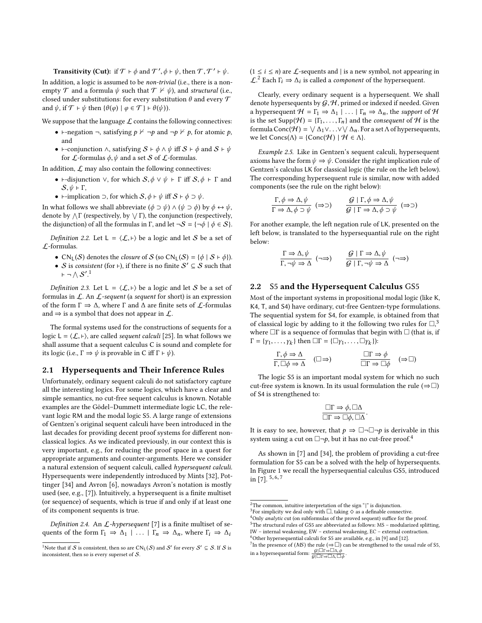**Transitivity (Cut):** if  $\mathcal{T} \vdash \phi$  and  $\mathcal{T}', \phi \vdash \psi$ , then  $\mathcal{T}, \mathcal{T}' \vdash \psi$ . In addition, a logic is assumed to be non-trivial (i.e., there is a nonempty  $\mathcal T$  and a formula  $\psi$  such that  $\mathcal T \nvdash \psi$ ), and structural (i.e., closed under substitutions: for every substitution  $\theta$  and every  $\mathcal T$ and  $\psi$ , if  $\mathcal{T} \vdash \psi$  then  $\{\theta(\varphi) \mid \varphi \in \mathcal{T}\}\vdash \theta(\psi)$ .

We suppose that the language  $\mathcal L$  contains the following connectives:

- ⊢-negation ¬, satisfying  $p \nvdash \neg p$  and  $\neg p \nvdash p$ , for atomic p, and
- ⊢-conjunction  $\wedge$ , satisfying  $S \vdash \phi \wedge \psi$  iff  $S \vdash \phi$  and  $S \vdash \psi$ for  $\mathcal L$ -formulas  $\phi, \psi$  and a set S of  $\mathcal L$ -formulas.

In addition,  $\mathcal L$  may also contain the following connectives:

- ⊢-disjunction  $\vee$ , for which  $S, \phi \vee \psi \vdash \Gamma$  iff  $S, \phi \vdash \Gamma$  and  $S, \psi \vdash \Gamma$ ,
- ⊢-implication  $\supset$ , for which  $S, \phi \vdash \psi$  iff  $S \vdash \phi \supset \psi$ .

In what follows we shall abbreviate  $(\phi \supset \psi) \wedge (\psi \supset \phi)$  by  $\phi \leftrightarrow \psi$ , denote by  $\wedge \Gamma$  (respectively, by  $\vee \Gamma$ ), the conjunction (respectively, the disjunction) of all the formulas in Γ, and let  $\neg S = {\neg \phi \mid \phi \in S}$ .

<span id="page-1-8"></span>Definition 2.2. Let  $L = \langle \mathcal{L}, \vdash \rangle$  be a logic and let S be a set of L-formulas.

- CN<sub>L</sub>(S) denotes the *closure* of S (so CN<sub>L</sub>(S) = { $\phi$  | S +  $\phi$ }).
- S is consistent (for ⊢), if there is no finite  $S' \subseteq S$  such that  $\vdash \neg \wedge \mathcal{S}'$ .<sup>[1](#page-1-0)</sup>

<span id="page-1-7"></span>Definition 2.3. Let  $L = \langle \mathcal{L}, \vdash \rangle$  be a logic and let S be a set of formulas in  $\mathcal{L}$ . An  $\mathcal{L}$ -sequent (a sequent for short) is an expression of the form Γ ⇒ ∆, where Γ and ∆ are finite sets of L-formulas and  $\Rightarrow$  is a symbol that does not appear in  $\mathcal{L}$ .

The formal systems used for the constructions of sequents for a logic L =  $\langle \mathcal{L}, \vdash \rangle$ , are called *sequent calculi* [\[25\]](#page-7-7). In what follows we shall assume that a sequent calculus C is sound and complete for its logic (i.e.,  $\Gamma \Rightarrow \psi$  is provable in C iff  $\Gamma \vdash \psi$ ).

## 2.1 Hypersequents and Their Inference Rules

Unfortunately, ordinary sequent calculi do not satisfactory capture all the interesting logics. For some logics, which have a clear and simple semantics, no cut-free sequent calculus is known. Notable examples are the Gödel–Dummett intermediate logic LC, the relevant logic RM and the modal logic S5. A large range of extensions of Gentzen's original sequent calculi have been introduced in the last decades for providing decent proof systems for different nonclassical logics. As we indicated previously, in our context this is very important, e.g., for reducing the proof space in a quest for appropriate arguments and counter-arguments. Here we consider a natural extension of sequent calculi, called hypersequent calculi. Hypersequents were independently introduced by Mints [\[32\]](#page-7-10), Pottinger [\[34\]](#page-7-11) and Avron [\[6\]](#page-7-9), nowadays Avron's notation is mostly used (see, e.g., [\[7\]](#page-7-19)). Intuitively, a hypersequent is a finite multiset (or sequence) of sequents, which is true if and only if at least one of its component sequents is true.

Definition 2.4. An  $\mathcal{L}$ -hypersequent [\[7\]](#page-7-19) is a finite multiset of sequents of the form  $\Gamma_1 \Rightarrow \Delta_1 \mid \ldots \mid \Gamma_n \Rightarrow \Delta_n$ , where  $\Gamma_i \Rightarrow \Delta_i$ 

 $(1 \le i \le n)$  are  $\mathcal L$ -sequents and | is a new symbol, not appearing in  $\mathcal{L}^2$  $\mathcal{L}^2$  Each  $\Gamma_i \Rightarrow \Delta_i$  is called a *component* of the hypersequent.

Clearly, every ordinary sequent is a hypersequent. We shall denote hypersequents by  $G, H$ , primed or indexed if needed. Given a hypersequent  $\mathcal{H} = \Gamma_1 \Rightarrow \Delta_1 \mid \ldots \mid \Gamma_n \Rightarrow \Delta_n$ , the support of  $\mathcal{H}$ is the set Supp( $H$ ) = { $\Gamma_1, \ldots, \Gamma_n$ } and the *consequent* of  $H$  is the formula Conc( $H$ ) =  $\lor$   $\Delta_1 \lor ... \lor \lor \Delta_n$ . For a set  $\Lambda$  of hypersequents, we let  $Concs(\Lambda) = \{Conc(\mathcal{H}) \mid \mathcal{H} \in \Lambda\}.$ 

Example 2.5. Like in Gentzen's sequent calculi, hypersequent axioms have the form  $\psi \Rightarrow \psi$ . Consider the right implication rule of Gentzen's calculus LK for classical logic (the rule on the left below). The corresponding hypersequent rule is similar, now with added components (see the rule on the right below):

$$
\frac{\Gamma, \phi \Rightarrow \Delta, \psi}{\Gamma \Rightarrow \Delta, \phi \supset \psi} \quad (\Rightarrow \supset) \qquad \frac{\mathcal{G} \mid \Gamma, \phi \Rightarrow \Delta, \psi}{\mathcal{G} \mid \Gamma \Rightarrow \Delta, \phi \supset \psi} \quad (\Rightarrow \supset)
$$

For another example, the left negation rule of LK, presented on the left below, is translated to the hypersequantial rule on the right below:

$$
\frac{\Gamma \Rightarrow \Delta, \psi}{\Gamma, \neg \psi \Rightarrow \Delta} \quad (\neg \Rightarrow) \qquad \frac{\mathcal{G} \mid \Gamma \Rightarrow \Delta, \psi}{\mathcal{G} \mid \Gamma, \neg \psi \Rightarrow \Delta} \quad (\neg \Rightarrow)
$$

## 2.2 S5 and the Hypersequent Calculus GS5

Most of the important systems in propositional modal logic (like K, K4, T, and S4) have ordinary, cut-free Gentzen-type formulations. The sequential system for S4, for example, is obtained from that of classical logic by adding to it the following two rules for  $\Box^3$  $\Box^3$ where  $\Box\Gamma$  is a sequence of formulas that begin with  $\Box$  (that is, if  $\Gamma = \{ \gamma_1, \ldots, \gamma_k \}$  then  $\Box \Gamma = \{ \Box \gamma_1, \ldots, \Box \gamma_k \}$ ):

$$
\frac{\Gamma, \phi \Rightarrow \Delta}{\Gamma, \Box \phi \Rightarrow \Delta} \quad (\Box \Rightarrow) \qquad \qquad \frac{\Box \Gamma \Rightarrow \phi}{\Box \Gamma \Rightarrow \Box \phi} \quad (\Rightarrow \Box)
$$

The logic S5 is an important modal system for which no such cut-free system is known. In its usual formulation the rule ( $\Rightarrow \Box$ ) of S4 is strengthened to:

$$
\frac{\Box \Gamma \Rightarrow \phi, \Box \Delta}{\Box \Gamma \Rightarrow \Box \phi, \Box \Delta}.
$$

It is easy to see, however, that  $p \Rightarrow \Box \neg \Box \neg p$  is derivable in this system using a cut on  $\Box\neg p$ , but it has no cut-free proof.<sup>[4](#page-1-3)</sup>

As shown in [\[7\]](#page-7-19) and [\[34\]](#page-7-11), the problem of providing a cut-free formulation for S5 can be a solved with the help of hypersequents. In Figure [1](#page-2-0) we recall the hypersequential calculus GS5, introduced in [\[7\]](#page-7-19).  $5, 6, 7$  $5, 6, 7$  $5, 6, 7$  $5, 6, 7$  $5, 6, 7$ 

<span id="page-1-0"></span><sup>&</sup>lt;sup>1</sup>Note that if  $S$  is consistent, then so are  $CN_L(S)$  and  $S'$  for every  $S' \subseteq S$ . If  $S$  is inconsistent, then so is every superset of  $S$ .

<span id="page-1-1"></span> $^2\mathrm{The}$  common, intuitive interpretation of the sign "|" is disjunction.

<span id="page-1-3"></span><span id="page-1-2"></span> $3$  For simplicity we deal only with  $\Box$  taking  $\Diamond$  as a definable connective. <sup>4</sup>Only *analytic* cut (on subformulas of the proved sequent) suffice for the proof. <sup>5</sup>The structural rules of GS5 are abbreviated as follows: MS – modularized splitting,

<span id="page-1-5"></span><span id="page-1-4"></span>IW – internal weakening, EW – external weakening, EC – external contraction.  $6$ Other hypersequential calculi for S5 are available, e.g., in [\[9\]](#page-7-20) and [\[12\]](#page-7-21).

<span id="page-1-6"></span>The presence of  $(MS)$  the rule  $(\Rightarrow \Box)$  can be strengthened to the usual rule of S5, in a hypersequential form:  $\frac{G|\Box \Gamma \Rightarrow \Box \Delta, \phi}{G|\Box \Gamma \Rightarrow \Box \Delta, \Box \phi}$ .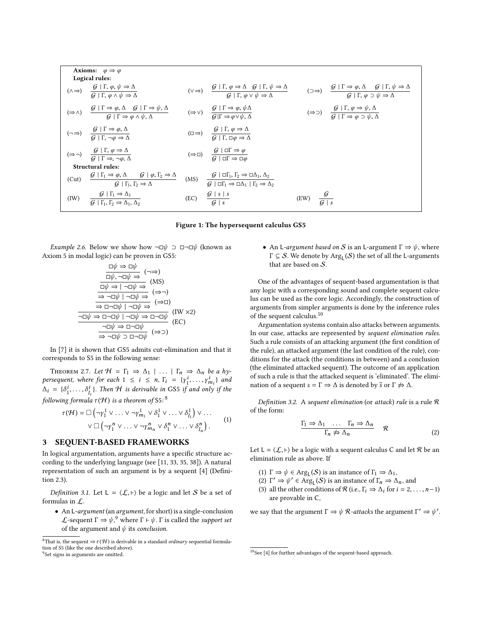<span id="page-2-0"></span>

| <b>Axioms:</b> $\varphi \Rightarrow \varphi$<br>Logical rules: |                                                                                                                                                                                                                                                                                                                                                                                 |  |                                                                                                                                                                                                    |                           |                                                                                                                                                                                                                       |
|----------------------------------------------------------------|---------------------------------------------------------------------------------------------------------------------------------------------------------------------------------------------------------------------------------------------------------------------------------------------------------------------------------------------------------------------------------|--|----------------------------------------------------------------------------------------------------------------------------------------------------------------------------------------------------|---------------------------|-----------------------------------------------------------------------------------------------------------------------------------------------------------------------------------------------------------------------|
|                                                                | $(\wedge \Rightarrow) \quad \frac{\mathcal{G} \mid \Gamma, \varphi, \psi \Rightarrow \Delta}{\mathcal{G} \mid \Gamma, \varphi \wedge \psi \Rightarrow \Delta}$                                                                                                                                                                                                                  |  | $(\vee \Rightarrow) \quad \frac{\mathcal{G}   \Gamma, \varphi \Rightarrow \Delta \quad \mathcal{G}   \Gamma, \psi \Rightarrow \Delta}{\mathcal{G}   \Gamma, \varphi \vee \psi \Rightarrow \Delta}$ |                           | $(\supset \Rightarrow) \quad \frac{\mathcal{G} \mid \Gamma \Rightarrow \varphi, \Delta \quad \mathcal{G} \mid \Gamma, \psi \Rightarrow \Delta}{\mathcal{G} \mid \Gamma, \varphi \Rightarrow \psi \Rightarrow \Delta}$ |
|                                                                | $(\Rightarrow \wedge) \quad \frac{\mathcal{G} \mid \Gamma \Rightarrow \varphi, \Delta \quad \mathcal{G} \mid \Gamma \Rightarrow \psi, \Delta}{\mathcal{G} \mid \Gamma \Rightarrow \varphi, \wedge \psi, \Delta} \qquad (\Rightarrow \vee) \quad \frac{\mathcal{G} \mid \Gamma \Rightarrow \varphi, \psi \Delta}{\mathcal{G} \mid \Gamma \Rightarrow \varphi \vee \psi, \Delta}$ |  |                                                                                                                                                                                                    |                           | $(\Rightarrow \supset) \qquad \frac{\mathcal{G} \mid \Gamma, \varphi \Rightarrow \psi, \Delta}{\mathcal{G} \mid \Gamma \Rightarrow \varphi \supset \psi, \Delta}$                                                     |
|                                                                | $(\neg \Rightarrow) \qquad \frac{\mathcal{G} \mid 1 \Rightarrow \varphi, \Delta}{\mathcal{G} \mid \Gamma \neg \varphi \to \Delta}$                                                                                                                                                                                                                                              |  | $(\Box \Rightarrow)$ $\frac{\mathcal{G} \mid \Gamma, \varphi \Rightarrow \Delta}{\mathcal{G} \mid \Gamma, \Box \varphi \Rightarrow \Delta}$                                                        |                           |                                                                                                                                                                                                                       |
|                                                                | $(\Rightarrow \neg)$ $\frac{\mathcal{G} \mid \Gamma, \varphi \Rightarrow \Delta}{\mathcal{G} \mid \Gamma \Rightarrow \neg \varphi \land \Delta}$                                                                                                                                                                                                                                |  | $(\Rightarrow \Box) \quad \frac{\mathcal{G} \mid \Box \Gamma \Rightarrow \varphi}{\mathcal{G} \mid \Box \Gamma \Rightarrow \Box \varphi}$                                                          |                           |                                                                                                                                                                                                                       |
| <b>Structural rules:</b>                                       |                                                                                                                                                                                                                                                                                                                                                                                 |  |                                                                                                                                                                                                    |                           |                                                                                                                                                                                                                       |
|                                                                | (Cut) $\frac{\mathcal{G}   \Gamma_1 \Rightarrow \varphi, \Delta \qquad \mathcal{G}   \varphi, \Gamma_2 \Rightarrow \Delta}{\mathcal{G}   \Gamma_1, \Gamma_2 \Rightarrow \Delta}$ (MS) $\frac{\mathcal{G}   \Box \Gamma_1, \Gamma_2 \Rightarrow \Box \Delta_1, \Delta_2}{\mathcal{G}   \Box \Gamma_1 \Rightarrow \Box \Delta_1   \Gamma_2 \Rightarrow \Delta_2}$                 |  |                                                                                                                                                                                                    |                           |                                                                                                                                                                                                                       |
|                                                                | (IW) $\frac{G \mid \Gamma_1 \Rightarrow \Delta_1}{G \mid \Gamma_1, \Gamma_2 \Rightarrow \Delta_1, \Delta_2}$                                                                                                                                                                                                                                                                    |  | (EC) $\frac{G s s}{G s}$                                                                                                                                                                           | (EW) $\frac{g}{G \mid s}$ |                                                                                                                                                                                                                       |
|                                                                |                                                                                                                                                                                                                                                                                                                                                                                 |  |                                                                                                                                                                                                    |                           |                                                                                                                                                                                                                       |

#### Figure 1: The hypersequent calculus GS5

*Example 2.6.* Below we show how  $\neg$ □ $\psi$  ⊃ □ $\neg$ □ $\psi$  (known as Axiom 5 in modal logic) can be proven in GS5:

$$
\frac{\Box \psi \Rightarrow \Box \psi}{\Box \psi, \neg \Box \psi \Rightarrow} (\neg \Rightarrow)
$$
\n
$$
\frac{\Box \psi \Rightarrow \Box \psi}{\Box \psi \Rightarrow (\text{MS})}
$$
\n
$$
\frac{\Box \psi \Rightarrow \neg \Box \psi \Rightarrow}{\Rightarrow \neg \Box \psi \mid \neg \Box \psi \Rightarrow} (\Rightarrow \neg)
$$
\n
$$
\frac{\neg \Box \psi \Rightarrow \Box \neg \psi \mid \neg \Box \psi \Rightarrow}{\Rightarrow \Box \neg \Box \psi \mid \neg \Box \psi \Rightarrow} (\Rightarrow \Box)
$$
\n
$$
\frac{\neg \Box \psi \Rightarrow \Box \neg \Box \psi}{\Rightarrow \Box \neg \Box \psi} (\text{IK X2})
$$
\n
$$
\frac{\neg \Box \psi \Rightarrow \Box \neg \Box \psi}{\Rightarrow \Box \neg \Box \psi} (\Rightarrow \neg)
$$

In [\[7\]](#page-7-19) it is shown that GS5 admits cut-elimination and that it corresponds to S5 in the following sense:

THEOREM 2.7. Let  $H = \Gamma_1 \Rightarrow \Delta_1 \mid ... \mid \Gamma_n \Rightarrow \Delta_n$  be a hypersequent, where for each  $1 \le i \le n$ ,  $\Gamma_i = \{y_1^i, \ldots, y_{n_i}^i\}$  and  $\Lambda = \{S_i^i, \ldots, S_j^i\}$  and  $\Lambda$  is derivable in CS5 if and only if the  $\Delta_i = {\delta_i^i, \ldots, \delta_i^i}$ . Then H is derivable in GS5 if and only if the following formula  $\tau(\mathcal{H})$  is a theorem of S5:<sup>[8](#page-2-1)</sup>

$$
\tau(\mathcal{H}) = \Box \left( \neg \gamma_1^1 \lor \dots \lor \neg \gamma_{m_1}^1 \lor \delta_1^1 \lor \dots \lor \delta_{l_1}^1 \right) \lor \dots
$$
  
 
$$
\lor \Box \left( \neg \gamma_1^n \lor \dots \lor \neg \gamma_{m_n}^n \lor \delta_1^n \lor \dots \lor \delta_{l_n}^n \right).
$$
 (1)

## 3 SEQUENT-BASED FRAMEWORKS

In logical argumentation, arguments have a specific structure according to the underlying language (see [\[11,](#page-7-5) [33,](#page-7-22) [35,](#page-7-23) [38\]](#page-7-24)). A natural representation of such an argument is by a sequent [\[4\]](#page-7-6) (Definition [2.3\)](#page-1-7).

Definition 3.1. Let  $L = \langle \mathcal{L}, \vdash \rangle$  be a logic and let S be a set of formulas in L.

• An L-argument (an argument, for short) is a single-conclusion L-sequent  $\Gamma \Rightarrow \psi$ ,<sup>[9](#page-2-2)</sup> where  $\Gamma \vdash \psi$ .  $\Gamma$  is called the *support set* of the argument and  $\psi$  its conclusion of the argument and  $\psi$  its conclusion.

• An L-argument based on S is an L-argument  $\Gamma \Rightarrow \psi$ , where  $\Gamma \subseteq \mathcal{S}$ . We denote by  $\text{Arg}_{\mathsf{L}}(\mathcal{S})$  the set of all the L-arguments that are based on S.

One of the advantages of sequent-based argumentation is that any logic with a corresponding sound and complete sequent calculus can be used as the core logic. Accordingly, the construction of arguments from simpler arguments is done by the inference rules of the sequent calculus.[10](#page-2-3)

Argumentation systems contain also attacks between arguments. In our case, attacks are represented by sequent elimination rules. Such a rule consists of an attacking argument (the first condition of the rule), an attacked argument (the last condition of the rule), conditions for the attack (the conditions in between) and a conclusion (the eliminated attacked sequent). The outcome of an application of such a rule is that the attacked sequent is 'eliminated'. The elimination of a sequent  $s = \Gamma \Rightarrow \Delta$  is denoted by  $\overline{s}$  or  $\Gamma \not\Rightarrow \Delta$ .

<span id="page-2-5"></span>Definition 3.2. A sequent elimination (or attack) rule is a rule  $R$ of the form:

$$
\frac{\Gamma_1 \Rightarrow \Delta_1 \quad \dots \quad \Gamma_n \Rightarrow \Delta_n}{\Gamma_n \not\Rightarrow \Delta_n} \quad \mathcal{R} \tag{2}
$$

Let  $L = \langle \mathcal{L}, \vdash \rangle$  be a logic with a sequent calculus C and let R be an elimination rule as above. If

- (1)  $\Gamma \Rightarrow \psi \in \text{Arg}_{\mathsf{L}}(\mathcal{S})$  is an instance of  $\Gamma_1 \Rightarrow \Delta_1$ ,<br>(2)  $\Gamma' \rightarrow \psi' \in \text{Arg}_{\mathsf{L}}(\mathcal{S})$  is an instance of  $\Gamma \rightarrow \Delta$
- (2)  $\Gamma' \Rightarrow \psi' \in \text{Arg}_{\mathbb{L}}(\mathcal{S})$  is an instance of  $\Gamma_n \Rightarrow \Delta_n$ , and (3) all the other conditions of  $\mathcal{R}$  (i.e.  $\Gamma_i \Rightarrow \Delta_i$  for  $i = 2$
- (3) all the other conditions of  $\mathcal R$  (i.e.,  $\Gamma_i \Rightarrow \Delta_i$  for  $i = 2, \ldots, n-1$ ) are provable in C,

<span id="page-2-4"></span>we say that the argument  $\Gamma \Rightarrow \psi \mathcal{R}$ -attacks the argument  $\Gamma' \Rightarrow \psi'$ .

<span id="page-2-2"></span><span id="page-2-1"></span><sup>&</sup>lt;sup>8</sup>That is, the sequent  $\Rightarrow \tau(\mathcal{H})$  is derivable in a standard *ordinary* sequential formulation of S5 (like the one described above). <sup>9</sup>Set signs in arguments are omitted.

<span id="page-2-3"></span><sup>&</sup>lt;sup>10</sup>See [\[4\]](#page-7-6) for further advantages of the sequent-based approach.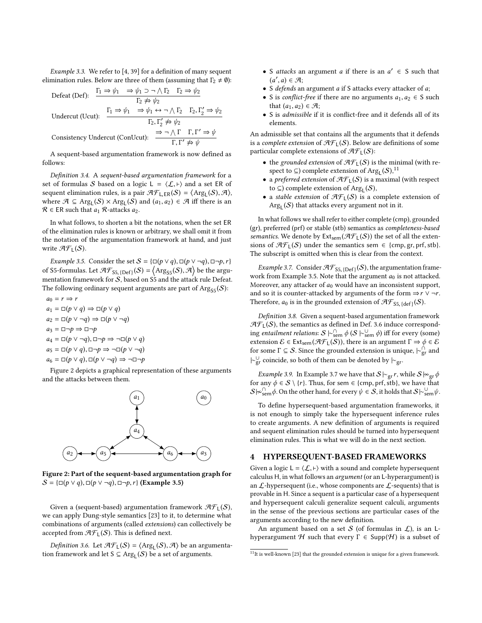Example 3.3. We refer to [\[4,](#page-7-6) [39\]](#page-7-25) for a definition of many sequent elimination rules. Below are three of them (assuming that  $\Gamma_2 \neq \emptyset$ ):

Defeat (Def):  $\Gamma_1 \Rightarrow \psi_1 \Rightarrow \psi_1 \Rightarrow \neg \wedge \Gamma_2 \quad \Gamma_2 \Rightarrow \psi_2$  $\Gamma_2 \not\Rightarrow \psi_2$ Undercut (Ucut):  $\frac{\Gamma_1 \Rightarrow \psi_1 \Rightarrow \psi_1 \leftrightarrow \neg \wedge \Gamma_2 \quad \Gamma_2, \Gamma'_2 \Rightarrow \psi_2}{\Gamma_1 \rightarrow \Gamma_2 \quad \Gamma_1 \rightarrow \Gamma_2 \quad \Gamma_2 \rightarrow \Gamma_2 \quad \Gamma_1 \rightarrow \Gamma_2 \quad \Gamma_2 \rightarrow \Gamma_2 \quad \Gamma_1 \rightarrow \Gamma_2 \quad \Gamma_1 \rightarrow \Gamma_2 \quad \Gamma_1 \rightarrow \Gamma_2 \quad \Gamma_2 \rightarrow \Gamma_2 \quad \Gamma_1 \rightarrow \Gamma_2 \quad \Gamma_1 \rightarrow \Gamma_2 \quad \Gamma_1 \rightarrow \Gamma_2 \quad \Gamma_2 \rightarrow \Gamma_2 \quad$  $\Gamma_2, \Gamma'_2 \nRightarrow \psi_2$ Consistency Undercut (ConUcut):  $\Rightarrow \neg \wedge \Gamma$   $\Gamma, \Gamma' \Rightarrow \psi$  $\Gamma, \Gamma' \nRightarrow \psi$ 

A sequent-based argumentation framework is now defined as follows:

<span id="page-3-6"></span>Definition 3.4. A sequent-based argumentation framework for a set of formulas S based on a logic L =  $\langle \mathcal{L}, \vdash \rangle$  and a set ER of sequent elimination rules, is a pair  $\mathcal{H}_{\text{L-ER}}(S) = \langle \text{Arg}_{\text{L}}(S), \mathcal{A} \rangle$ <br>where  $\mathcal{A} \subset \text{Arg}_{\text{L}}(S) \times \text{Arg}_{\text{L}}(S)$  and  $(a, a_2) \in \mathcal{A}$  iff there is an where  $\mathcal{A} \subseteq \text{Arg}_{\mathsf{L}}(\mathcal{S}) \times \text{Arg}_{\mathsf{L}}(\mathcal{S})$  and  $(a_1, a_2) \in \mathcal{A}$  iff there is an  $\mathcal{B} \in \text{EP}$  such that a  $\mathcal{B}$ -attacks as  $\mathcal{R} \in \mathsf{ER}$  such that  $a_1$   $\mathcal{R}$ -attacks  $a_2$ .

In what follows, to shorten a bit the notations, when the set ER of the elimination rules is known or arbitrary, we shall omit it from the notation of the argumentation framework at hand, and just write  $\mathcal{AF}_L(\mathcal{S})$ .

<span id="page-3-2"></span>*Example 3.5.* Consider the set  $S = {\sqcup (p \lor q), \sqcup (p \lor \neg q), \sqcup \neg p, r}$ of S5-formulas. Let  $\mathcal{AF}_{55, {[\text{Def}]}}(S) = \langle \text{Arg}_{55}(S), \mathcal{A} \rangle$  be the argu-<br>montation framework for S, boged on S5 and the strack rule Defect. mentation framework for S, based on S5 and the attack rule Defeat. The following ordinary sequent arguments are part of  $\text{Arg}_{\text{SS}}(\mathcal{S})$ :

 $a_0 = r \Rightarrow r$  $a_1 = \Box(p \lor q) \Rightarrow \Box(p \lor q)$  $a_2 = \Box(p \lor \neg q) \Rightarrow \Box(p \lor \neg q)$  $a_3 = \Box \neg p \Rightarrow \Box \neg p$  $a_4 = \Box(p \lor \neg q), \Box \neg p \Rightarrow \neg \Box(p \lor q)$  $a_5 = \Box(p \lor q), \Box \neg p \Rightarrow \neg \Box(p \lor \neg q)$  $a_6 = \Box(p \lor q), \Box(p \lor \neg q) \Rightarrow \neg \Box \neg p$ 

Figure [2](#page-3-1) depicts a graphical representation of these arguments and the attacks between them.

<span id="page-3-1"></span>

Figure 2: Part of the sequent-based argumentation graph for  $S = \{\Box(p \lor q), \Box(p \lor \neg q), \Box \neg p, r\}$  (Example [3.5\)](#page-3-2)

Given a (sequent-based) argumentation framework  $\mathcal{AF}_{L}(S)$ , we can apply Dung-style semantics [\[23\]](#page-7-26) to it, to determine what combinations of arguments (called extensions) can collectively be accepted from  $\mathcal{AF}_L(\mathcal{S})$ . This is defined next.

<span id="page-3-4"></span>Definition 3.6. Let  $\mathcal{H}_{\text{L}}(S) = \langle \text{Arg}_{\text{L}}(S), \mathcal{A} \rangle$  be an argumenta-<br>n framework and let  $S \subseteq \text{Arg}_{\text{L}}(S)$  be a set of arguments tion framework and let  $S \subseteq \text{Arg}_{L}(S)$  be a set of arguments.

- S *attacks* an argument *a* if there is an  $a' \in S$  such that  $(a', a) \in \mathcal{A}$ .  $(a', a) \in \mathcal{A};$ <br>S defends ar
- S defends an argument a if S attacks every attacker of a;
- S is *conflict-free* if there are no arguments  $a_1, a_2 \in S$  such that  $(a_1, a_2) \in \mathcal{A}$ ;
- S is admissible if it is conflict-free and it defends all of its elements.

An admissible set that contains all the arguments that it defends is a complete extension of  $\mathcal{AF}_{L}(S)$ . Below are definitions of some particular complete extensions of  $\mathcal{AF}_L(\mathcal{S})$ :

- the grounded extension of  $\mathcal{AF}_{L}(S)$  is the minimal (with respect to  $\subseteq$ ) complete extension of Arg<sub>L</sub>(S),<sup>[11](#page-3-3)</sup>
- a preferred extension of  $\mathcal{AF}_L(S)$  is a maximal (with respect to  $\subseteq$ ) complete extension of Arg<sub>L</sub>( $\mathcal{S}$ ),
- a stable extension of  $\mathcal{AF}_L(S)$  is a complete extension of  $\mathrm{Arg}_{\mathsf{L}}(\mathcal{S})$  that attacks every argument not in it.

In what follows we shall refer to either complete (cmp), grounded (gr), preferred (prf) or stable (stb) semantics as completeness-based semantics. We denote by  $Ext_{sem}(\mathcal{AF}_1(S))$  the set of all the extensions of  $\mathcal{AF}_1(S)$  under the semantics sem  $\in \{\text{cmp}, \text{gr}, \text{prf}, \text{stb}\}.$ The subscript is omitted when this is clear from the context.

<span id="page-3-5"></span>Example 3.7. Consider  $\mathcal{AF}_{S5, {[\text{Def}]}}(S)$ , the argumentation frame-<br>rk from Example 3.5. Note that the argument  $a_2$  is not attacked work from Example [3.5.](#page-3-2) Note that the argument  $a_0$  is not attacked. Moreover, any attacker of  $a_0$  would have an inconsistent support, and so it is counter-attacked by arguments of the form  $\Rightarrow r \vee \neg r$ . Therefore,  $a_0$  is in the grounded extension of  $\mathcal{AF}_{\mathsf{S5}, \{\mathsf{def}\}}(\mathcal{S})$ .

<span id="page-3-7"></span>Definition 3.8. Given a sequent-based argumentation framework  $\mathcal{AF}_L(\mathcal{S})$ , the semantics as defined in Def. [3.6](#page-3-4) induce corresponding entailment relations:  $S \vdash_{\text{sem}}^{\Omega} \phi(S \vdash_{\text{sem}}^{\cup} \phi)$  iff for every (some)<br>extension  $\mathcal{E} \in \text{Ext}$  ( $\mathcal{F}(\mathcal{F})$ ) there is an argument  $\Gamma \to \phi \in \mathcal{E}$ extension  $\mathcal{E} \in \text{Ext}_{sem}(\mathcal{AF}_L(\mathcal{S}))$ , there is an argument  $\Gamma \Rightarrow \phi \in \mathcal{E}$ for some  $\Gamma \subseteq \mathcal{S}$ . Since the grounded extension is unique,  $\vdash_{\text{gr}}^{\cap}$  and  $\vdash_{\text{gr}}^{\cup}$  coincide, so both of them can be denoted by  $\vdash_{\text{gr}}$ .

*Example 3.9.* In Example [3.7](#page-3-5) we have that  $S \sim_{gr} r$ , while  $S \sim_{gr} \phi$ for any  $\phi \in S \setminus \{r\}$ . Thus, for sem  $\in \{\text{cmp}, \text{prf}, \text{stb}\}\)$ , we have that  $S \sim_{\text{sem}}^{\text{O}} \phi$ . On the other hand, for every  $\psi \in S$ , it holds that  $S \sim_{\text{sem}}^{\text{O}} \psi$ .

To define hypersequent-based argumentation frameworks, it is not enough to simply take the hypersequent inference rules to create arguments. A new definition of arguments is required and sequent elimination rules should be turned into hypersequent elimination rules. This is what we will do in the next section.

## <span id="page-3-0"></span>4 HYPERSEQUENT-BASED FRAMEWORKS

Given a logic  $L = \langle \mathcal{L}, \vdash \rangle$  with a sound and complete hypersequent calculus H, in what follows an argument (or an L-hyperargument) is an  $\mathcal{L}$ -hypersequent (i.e., whose components are  $\mathcal{L}$ -sequents) that is provable in H. Since a sequent is a particular case of a hypersequent and hypersequent calculi generalize sequent calculi, arguments in the sense of the previous sections are particular cases of the arguments according to the new definition.

An argument based on a set S (of formulas in  $\mathcal{L}$ ), is an Lhyperargument H such that every  $\Gamma \in \text{Supp}(\mathcal{H})$  is a subset of

<span id="page-3-3"></span> $^{11}{\rm It}$  is well-known [\[23\]](#page-7-26) that the grounded extension is unique for a given framework.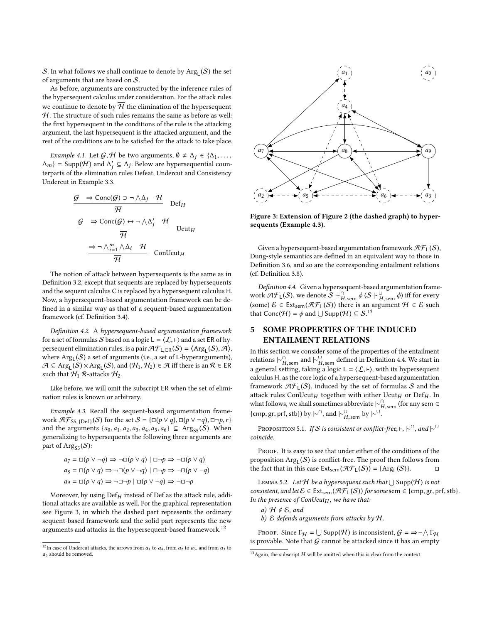S. In what follows we shall continue to denote by  $\text{Arg}_{\mathsf{L}}(\mathcal{S})$  the set of arguments that are based on S.

As before, arguments are constructed by the inference rules of the hypersequent calculus under consideration. For the attack rules we continue to denote by  $\overline{\mathcal{H}}$  the elimination of the hypersequent  $H$ . The structure of such rules remains the same as before as well: the first hypersequent in the conditions of the rule is the attacking argument, the last hypersequent is the attacked argument, and the rest of the conditions are to be satisfied for the attack to take place.

<span id="page-4-8"></span>*Example 4.1.* Let  $G, H$  be two arguments,  $\emptyset \neq \Delta_j \in \{\Delta_1, \ldots, \Delta_j\}$  $\Delta_m$ } = Supp(H) and  $\Delta'_j \subseteq \Delta_j$ . Below are hypersequential counterparts of the elimination rules Defeat. Undercut and Consistency Undercut in Example [3.3.](#page-2-4)

$$
\frac{G \Rightarrow \text{Conc}(G) \supset \neg \wedge \Delta_j \mathcal{H}}{\overline{\mathcal{H}}} \text{Def}_H
$$
\n
$$
\frac{G \Rightarrow \text{Conc}(G) \leftrightarrow \neg \wedge \Delta'_j \mathcal{H}}{\overline{\mathcal{H}}} \text{Ucut}_H
$$
\n
$$
\frac{\Rightarrow \neg \wedge_{i=1}^m \wedge \Delta_i \mathcal{H}}{\overline{\mathcal{H}}} \text{ConUcut}_H
$$

The notion of attack between hypersequents is the same as in Definition [3.2,](#page-2-5) except that sequents are replaced by hypersequents and the sequent calculus C is replaced by a hypersequent calculus H. Now, a hypersequent-based argumentation framework can be defined in a similar way as that of a sequent-based argumentation framework (cf. Definition [3.4\)](#page-3-6).

Definition 4.2. A hypersequent-based argumentation framework for a set of formulas S based on a logic  $L = \langle \mathcal{L}, \vdash \rangle$  and a set ER of hypersequent elimination rules, is a pair  $\mathcal{H}_{LER}(S) = \langle \text{Arg}_{L}(S), \mathcal{A} \rangle$ , where  $\mathrm{Arg}_{\mathsf{L}}(\mathcal{S})$  a set of arguments (i.e., a set of L-hyperarguments),  $\mathcal{A} \subseteq \text{Arg}_{\mathsf{L}}(\mathcal{S}) \times \text{Arg}_{\mathsf{L}}(\mathcal{S})$ , and  $(\mathcal{H}_1, \mathcal{H}_2) \in \mathcal{A}$  iff there is an  $\mathcal{R} \in \mathsf{ER}$ <br>such that  $\mathcal{H}_1$ .  $\mathcal{R}_2$  attacks  $\mathcal{H}_2$ . such that  $H_1$  R-attacks  $H_2$ .

Like before, we will omit the subscript ER when the set of elimination rules is known or arbitrary.

<span id="page-4-3"></span>Example 4.3. Recall the sequent-based argumentation framework  $\mathcal{AF}_{55, [Def]}(\mathcal{S})$  for the set  $\mathcal{S} = {\square(p \lor q), \square(p \lor \neg q), \square \neg p, r}$ <br>and the arguments *lacely de de de de Co* de Co Arg (S) When and the arguments { $a_0, a_1, a_2, a_3, a_4, a_5, a_6$ } ⊆ Arg<sub>S5</sub>(S). When generalizing to hypersequents the following three arguments are part of  $\text{Arg}_{SS}(S)$ :

$$
a_7 = \Box(p \lor \neg q) \Rightarrow \neg \Box(p \lor q) \mid \Box \neg p \Rightarrow \neg \Box(p \lor q)
$$
  
\n
$$
a_8 = \Box(p \lor q) \Rightarrow \neg \Box(p \lor \neg q) \mid \Box \neg p \Rightarrow \neg \Box(p \lor \neg q)
$$
  
\n
$$
a_9 = \Box(p \lor q) \Rightarrow \neg \Box \neg p \mid \Box(p \lor \neg q) \Rightarrow \neg \Box \neg p
$$

Moreover, by using  $\text{Def}_H$  instead of Def as the attack rule, addi-<br>nal attacks are available as well. For the graphical representation tional attacks are available as well. For the graphical representation see Figure [3,](#page-4-1) in which the dashed part represents the ordinary sequent-based framework and the solid part represents the new arguments and attacks in the hypersequent-based framework.<sup>[12](#page-4-2)</sup>

<span id="page-4-1"></span>

Figure 3: Extension of Figure [2](#page-3-1) (the dashed graph) to hypersequents (Example [4.3\)](#page-4-3).

Given a hypersequent-based argumentation framework  $\mathcal{AF}_{L}(S)$ , Dung-style semantics are defined in an equivalent way to those in Definition [3.6,](#page-3-4) and so are the corresponding entailment relations (cf. Definition [3.8\)](#page-3-7).

<span id="page-4-5"></span>Definition 4.4. Given a hypersequent-based argumentation framework  $\mathcal{AF}_L(\mathcal{S})$ , we denote  $\mathcal{S} \models^{\cap}_{H, \text{sem}} \phi \left( \mathcal{S} \models^{\cup}_{H, \text{sem}} \phi \right)$  iff for every work 313 [(S), we denote  $S \upharpoonright H$ , sem  $\psi \upharpoonright H$ , sem  $\psi$ ) in for every (some)  $\mathcal{E} \in Ext_{\text{sem}}(\mathcal{H}\mathcal{F}_L(\mathcal{S}))$  there is an argument  $\mathcal{H} \in \mathcal{E}$  such that Conc $(H) = \phi$  and  $\bigcup$  Supp $(H) \subseteq S$ .<sup>[13](#page-4-4)</sup>

# <span id="page-4-0"></span>5 SOME PROPERTIES OF THE INDUCED ENTAILMENT RELATIONS

In this section we consider some of the properties of the entailment relations  $\vdash^{\cap}_{H \text{ sem}}$  and  $\vdash^{\cup}_{H \text{ sem}}$  defined in Definition [4.4.](#page-4-5) We start in Examples  $\Gamma_{H,\text{sem}}^{\bullet}$  and  $\Gamma_{H,\text{sem}}^{\bullet}$  defined in Definition 4.4. We start in<br>a general setting, taking a logic L =  $\langle L, \vdash \rangle$ , with its hypersequent calculus H, as the core logic of a hypersequent-based argumentation framework  $\mathcal{AF}_1(S)$ , induced by the set of formulas S and the attack rules ConUcut<sub>H</sub> together with either Ucut<sub>H</sub> or Def<sub>H</sub>. In what follows we shall sometimes abbreviate  $h^0$  (for any sem  $\epsilon$ what follows, we shall sometimes abbreviate  $\vdash^{\cap}_{H,sem}$  (for any sem ∈<br>(cmp qr, prf, stb)) by  $\vdash^{\cap}_{H}$  and  $\vdash^{\cup}_{H}$ {cmp, gr, prf, stb}) by  $\vdash^\cap$ , and  $\vdash^\cup_{H,\text{sem}}$  by  $\vdash^\cup$ .

<span id="page-4-7"></span>PROPOSITION 5.1. If S is consistent or conflict-free, ⊢,  $\vdash^{\cap}$ , and  $\vdash^{\cup}$ coincide.

PROOF. It is easy to see that under either of the conditions of the proposition  $\text{Arg}_{\mathsf{L}}(\mathcal{S})$  is conflict-free. The proof then follows from the fact that in this case  $Ext_{sem}(\mathcal{AF}_L(S)) = \{Arg_L(S)\}.$ 

<span id="page-4-6"></span>LEMMA 5.2. Let  ${\mathcal H}$  be a hypersequent such that  $\bigcup$  Supp $({\mathcal H})$  is not consistent, and let  $\mathcal{E} \in \text{Ext}_{sem}(\mathcal{AF}_L(\mathcal{S}))$  for some sem  $\in \{\text{cmp}, \text{gr}, \text{prf}, \text{stb}\}.$ In the presence of ConUcut $_H$ , we have that:

a)  $H \notin \mathcal{E}$ , and b)  $\mathcal E$  defends arguments from attacks by  $\mathcal H$ .

Proof. Since  $\Gamma_H = \bigcup$  Supp $(H)$  is inconsistent,  $G = \Rightarrow \neg \wedge \Gamma_H$ is provable. Note that  $G$  cannot be attacked since it has an empty

<span id="page-4-2"></span> $^{12}{\rm In}$  case of Undercut attacks, the arrows from  $a_1$  to  $a_4,$  from  $a_2$  to  $a_5,$  and from  $a_3$  to  $a<sub>6</sub>$  should be removed.

<span id="page-4-4"></span> $13$ Again, the subscript H will be omitted when this is clear from the context.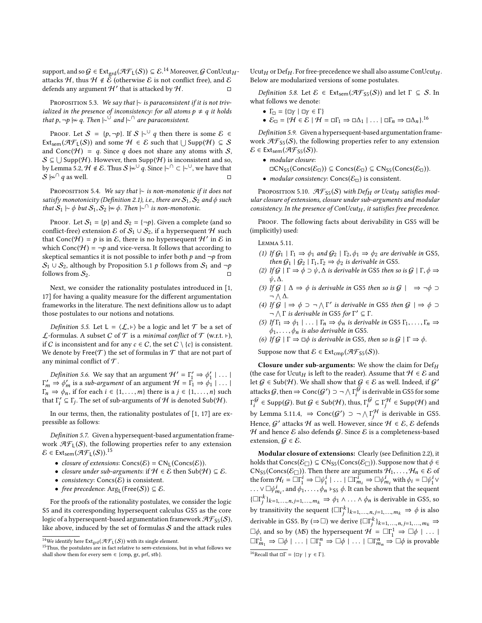support, and so  $G \in \text{Ext}_{\text{grd}}(\mathcal{AF}_L(\mathcal{S})) \subseteq \mathcal{E}^{14}$  $G \in \text{Ext}_{\text{grd}}(\mathcal{AF}_L(\mathcal{S})) \subseteq \mathcal{E}^{14}$  $G \in \text{Ext}_{\text{grd}}(\mathcal{AF}_L(\mathcal{S})) \subseteq \mathcal{E}^{14}$  Moreover, G ConUcut $H$ attacks H, thus  $H \notin \tilde{\mathcal{E}}$  (otherwise  $\mathcal E$  is not conflict free), and  $\mathcal E$ defends any argument  $\mathcal{H}'$  that is attacked by  $\mathcal{H}$ .

PROPOSITION 5.3. We say that  $|∼$  is paraconsistent if it is not trivialized in the presence of inconsistency: for all atoms  $p \neq q$  it holds that p, ¬p  $\sim q$ . Then  $\sim^{\circ}$  and  $\sim^{\circ}$  are paraconsistent.

PROOF. Let  $S = \{p, \neg p\}$ . If  $S \vdash^{\cup} q$  then there is some  $\mathcal{E} \in$ Ext<sub>sem</sub>( $\mathcal{AF}_L(\mathcal{S})$ ) and some  $\mathcal{H} \in \mathcal{E}$  such that  $\bigcup \text{Supp}(\mathcal{H}) \subseteq \mathcal{S}$ and Conc( $H$ ) = q. Since q does not share any atoms with S,  $\mathcal{S} \subseteq \bigcup \mathsf{Supp}(\mathcal{H}).$  However, then  $\mathsf{Supp}(\mathcal{H})$  is inconsistent and so, by Lemma [5.2,](#page-4-6)  $\mathcal{H} \notin \mathcal{E}$ . Thus  $S \not\sim^{\cup} q$ . Since  $\vdash^{\cap} \subset \vdash^{\cup}$ , we have that  $S \not\approx^{\cap} q$  as well. S  $\vert\approx\vert\alpha\vert$  q as well.

PROPOSITION 5.4. We say that  $|∼$  is non-monotonic if it does not satisfy monotonicity (Definition [2.1\)](#page-0-0), i.e., there are  $\mathcal{S}_1$ ,  $\mathcal{S}_2$  and  $\phi$  such that  $S_1$   $\sim \phi$  but  $S_1, S_2 \Join \phi$ . Then  $\mid \sim \cap$  is non-monotonic.

PROOF. Let  $S_1 = \{p\}$  and  $S_2 = \{\neg p\}$ . Given a complete (and so conflict-free) extension  $\mathcal{E}$  of  $\mathcal{S}_1 \cup \mathcal{S}_2$ , if a hypersequent  $\mathcal{H}$  such that Conc( $\mathcal{H}$ ) = p is in  $\mathcal{E}$ , there is no hypersequent  $\mathcal{H}'$  in  $\mathcal{E}$  in which Conc( $\mathcal{H}$ ) =  $\neg$  and vice-verse. It follows that according to which Conc( $H$ ) =  $\neg p$  and vice-versa. It follows that according to skeptical semantics it is not possible to infer both  $p$  and  $\neg p$  from  $S_1 \cup S_2$ , although by Proposition [5.1](#page-4-7) p follows from  $S_1$  and  $\neg p$ follows from  $S_2$ .

Next, we consider the rationality postulates introduced in [\[1,](#page-7-27) [17\]](#page-7-28) for having a quality measure for the different argumentation frameworks in the literature. The next definitions allow us to adapt those postulates to our notions and notations.

Definition 5.5. Let  $L = \langle \mathcal{L}, \vdash \rangle$  be a logic and let  $\mathcal{T}$  be a set of *L*-formulas. A subset *C* of  $T$  is a minimal conflict of  $T$  (w.r.t. ⊦), if C is inconsistent and for any  $c \in C$ , the set  $C \setminus \{c\}$  is consistent. We denote by Free $(\mathcal{T})$  the set of formulas in  $\mathcal T$  that are not part of any minimal conflict of  $\mathcal T$ .

Definition 5.6. We say that an argument  $\mathcal{H}' = \Gamma'_1 \Rightarrow \phi'_1 \mid \dots \mid$ <br>  $\Rightarrow \phi'_2$  is a sub-argument of an argument  $\mathcal{H} = \Gamma_1 \Rightarrow \phi_1 \mid \dots \mid$  $\Gamma'_m \Rightarrow \phi'_m$  is a sub-argument of an argument  $H = \Gamma_1 \Rightarrow \phi_1 \mid \dots \mid$ <br> $\Gamma_n \rightarrow \phi_n$  if for each  $i \in \{1, \dots, m\}$  there is a  $i \in \{1, \dots, n\}$  such  $\Gamma_n \Rightarrow \phi_n$ , if for each  $i \in \{1, \ldots, m\}$  there is a  $j \in \{1, \ldots, n\}$  such that  $\Gamma'_i \subseteq \Gamma_j$ . The set of sub-arguments of  $H$  is denoted  $\text{Sub}(\mathcal{H})$ .

In our terms, then, the rationality postulates of [\[1,](#page-7-27) [17\]](#page-7-28) are expressible as follows:

Definition 5.7. Given a hypersequent-based argumentation framework  $\mathcal{AF}_L(\mathcal{S})$ , the following properties refer to any extension  $\mathcal{E} \in \text{Ext}_{sem}(\mathcal{AF}_L(\mathcal{S}))$ .<sup>[15](#page-5-1)</sup>

- closure of extensions:  $Concs(\mathcal{E}) = CN_L(Concs(\mathcal{E})).$
- closure under sub-arguments: if  $H \in \mathcal{E}$  then  $\text{Sub}(\mathcal{H}) \subseteq \mathcal{E}$ .
- consistency:  $Concs(\mathcal{E})$  is consistent.
- free precedence:  $Arg_{L}(Free(S)) \subseteq \mathcal{E}$ .

For the proofs of the rationality postulates, we consider the logic S5 and its corresponding hypersequent calculus GS5 as the core logic of a hypersequent-based argumentation framework  $\mathcal{AF}_{S5}(\mathcal{S}),$ like above, induced by the set of formulas  $S$  and the attack rules

<span id="page-5-0"></span>

<span id="page-5-1"></span><sup>&</sup>lt;sup>15</sup>Thus, the postulates are in fact relative to sem-extensions, but in what follows we shall show them for every sem  $\in$  {cmp, gr, prf, stb}.

Ucut<sub>H</sub> or Def<sub>H</sub>. For free-precedence we shall also assume ConUcut<sub>H</sub>.<br>Below are modularized versions of some postulates Below are modularized versions of some postulates.

<span id="page-5-5"></span>Definition 5.8. Let  $\mathcal{E} \in Ext_{sem}(\mathcal{AF}_{S5}(S))$  and let  $\Gamma \subseteq S$ . In what follows we denote:

- $\Gamma_{\Box} = {\Box y \mid \Box y \in \Gamma}$
- $\mathcal{E}_{\Box} = \{ \mathcal{H} \in \mathcal{E} \mid \mathcal{H} = \Box \Gamma_1 \Rightarrow \Box \Delta_1 \mid \ldots \mid \Box \Gamma_n \Rightarrow \Box \Delta_n \}.^{16}$  $\mathcal{E}_{\Box} = \{ \mathcal{H} \in \mathcal{E} \mid \mathcal{H} = \Box \Gamma_1 \Rightarrow \Box \Delta_1 \mid \ldots \mid \Box \Gamma_n \Rightarrow \Box \Delta_n \}.^{16}$  $\mathcal{E}_{\Box} = \{ \mathcal{H} \in \mathcal{E} \mid \mathcal{H} = \Box \Gamma_1 \Rightarrow \Box \Delta_1 \mid \ldots \mid \Box \Gamma_n \Rightarrow \Box \Delta_n \}.^{16}$

Definition 5.9. Given a hypersequent-based argumentation framework  $\mathcal{AF}_{S5}(S)$ , the following properties refer to any extension  $\mathcal{E} \in \text{Ext}_{sem}(\mathcal{AF}_{S5}(S)).$ 

- modular closure:
- $\Box CN_{S5}(Concs(\mathcal{E}_{\Box})) \subseteq Concs(\mathcal{E}_{\Box}) \subseteq CN_{S5}(Concs(\mathcal{E}_{\Box})).$
- modular consistency: Concs( $\mathcal{E}_{\Box}$ ) is consistent.

<span id="page-5-4"></span>PROPOSITION 5.10.  $\mathcal{AF}_{S5}(S)$  with Def<sub>H</sub> or Ucut<sub>H</sub> satisfies modular closure of extensions, closure under sub-arguments and modular consistency. In the presence of  $ConUcut_H$ , it satisfies free precedence.

PROOF. The following facts about derivability in GS5 will be (implicitly) used:

<span id="page-5-3"></span>Lemma 5.11.

- (1) If  $G_1 | \Gamma_1 \Rightarrow \phi_1$  and  $G_2 | \Gamma_2, \phi_1 \Rightarrow \phi_2$  are derivable in GS5, then  $G_1 \mid G_2 \mid \Gamma_1, \Gamma_2 \Rightarrow \phi_2$  is derivable in GS5.
- (2) If  $G \mid \Gamma \Rightarrow \phi \supset \psi$ ,  $\Delta$  is derivable in GS5 then so is  $G \mid \Gamma, \phi \Rightarrow$ ψ, <sup>∆</sup>.
- (3) If  $G \mid \Delta \Rightarrow \phi$  is derivable in GS5 then so is  $G \mid \Rightarrow \neg \phi \supset$  $\neg \wedge \Delta$ .
- (4) If  $\mathcal{G} \mid \Rightarrow \phi \supset \neg \wedge \Gamma'$  is derivable in GS5 then  $\mathcal{G} \mid \Rightarrow \phi \supset \neg \wedge \Gamma$  is derivable in GS5 for  $\Gamma' \subset \Gamma$  $\neg \wedge \Gamma$  is derivable in GS5 for  $\Gamma' \subseteq \Gamma$ .
- (5) If  $\Gamma_1 \Rightarrow \phi_1 \mid \ldots \mid \Gamma_n \Rightarrow \phi_n$  is derivable in GS5  $\Gamma_1, \ldots, \Gamma_n \Rightarrow$  $\phi_1, \ldots, \phi_n$  is also derivable in GS5.
- (6) If  $G \mid \Gamma \Rightarrow \Box \phi$  is derivable in GS5, then so is  $G \mid \Gamma \Rightarrow \phi$ .

Suppose now that  $\mathcal{E} \in \text{Ext}_{\text{cmp}}(\mathcal{AF}_{S5}(S)).$ 

Closure under sub-arguments: We show the claim for  $Def_H$ (the case for Ucut<sub>H</sub> is left to the reader). Assume that  $H \in \mathcal{E}$  and let  $G \in \text{Sub}(\mathcal{H})$ . We shall show that  $G \in \mathcal{E}$  as well Indeed if  $G'$ . let  $G \in Sub(\mathcal{H})$ . We shall show that  $G \in \mathcal{E}$  as well. Indeed, if  $G'$ attacks  $\mathcal G,$  then  $\Rightarrow$  Conc $(\mathcal G')\supset \neg\bigwedge \Gamma_i^\mathcal G$  is derivable in GS5 for some  $\Gamma_i^{\mathcal{G}} \in \operatorname{\mathsf{Supp}}(\mathcal{G}).$  But  $\mathcal{G} \in \operatorname{\mathsf{Sub}}(\mathcal{H}),$  thus,  $\Gamma_i^{\mathcal{G}} \subseteq \Gamma_i^{\mathcal{H}} \in \operatorname{\mathsf{Supp}}(\mathcal{H})$  and by Lemma [5.11.](#page-5-3)4,  $\Rightarrow$  Conc( $G'$ )  $\supset \neg \wedge \Gamma_i^{\mathcal{H}}$  is derivable in GS5. Hence,  $\mathcal{G}'$  attacks  $\mathcal{H}$  as well. However, since  $\mathcal{H} \in \mathcal{E}$ ,  $\mathcal{E}$  defends  $H$  and hence  $E$  also defends  $G$ . Since  $E$  is a completeness-based extension,  $G \in \mathcal{E}$ .

Modular closure of extensions: Clearly (see Definition [2.2\)](#page-1-8), it holds that  $Concs(\mathcal{E}_{\Box}) \subseteq CN_{S5}(Concs(\mathcal{E}_{\Box}))$ . Suppose now that  $\phi \in$  $CN<sub>S5</sub>(Concs(\mathcal{E}_\Box))$ . Then there are arguments  $\mathcal{H}_1, \ldots, \mathcal{H}_n \in \mathcal{E}$  of the form  $\mathcal{H}_i = \overline{\square} \Gamma_i^i \Rightarrow \square \psi_i^i \mid \ldots \mid \square \Gamma_{m_i}^i \Rightarrow \square \psi_{m_i}^i$  with  $\phi_i = \square \psi_i^i \vee \square \psi_i^i$ ...  $\vee \Box \psi_{m_i}^i$ , and  $\phi_1, \ldots, \phi_n \vdash_{SS} \phi$ . It can be shown that the sequent  ${\{\Box \Gamma_j^k\}}_{k=1,...,n, j=1,...,m_k} \Rightarrow \phi_1 \land ... \land \phi_n$  is derivable in GS5, so by transitivity the sequent  $\{\Box \Gamma_j^k\}_{k=1,\dots,n,j=1,\dots,m_k} \Rightarrow \phi$  is also derivable in GS5. By  $(\Rightarrow \Box)$  we derive  $\{\Box \Gamma_k^k\}_{k=1,\dots,n,j=1,\dots,m_k} \Rightarrow$  $\Box \phi$ , and so by (MS) the hypersequent  $\mathcal{H} = \Box \Gamma_1^1 \Rightarrow \Box \phi \mid \dots \mid$  $\square \Gamma^1_{m_1} \Rightarrow \square \phi \mid \ldots \mid \square \Gamma^n_1 \Rightarrow \square \phi \mid \ldots \mid \square \Gamma^n_{m_n} \Rightarrow \square \phi$  is provable

<span id="page-5-2"></span><sup>&</sup>lt;sup>16</sup>Recall that  $\square \Gamma = {\sqcap \gamma \mid \gamma \in \Gamma}$ .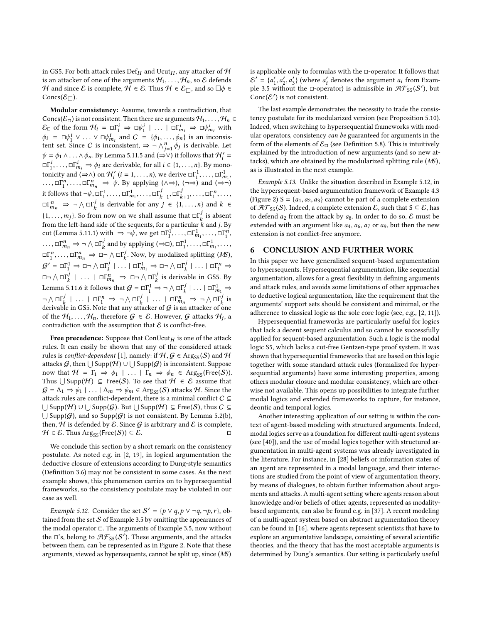in GS5. For both attack rules Def<sub>H</sub> and Ucut<sub>H</sub>, any attacker of  $H$ is an attacker of one of the arguments  $H_1, \ldots, H_n$ , so  $\mathcal E$  defends H and since E is complete,  $H \in \mathcal{E}$ . Thus  $H \in \mathcal{E}_{\Box}$ , and so  $\Box \phi \in$ Concs( $\mathcal{E}_{\Box}$ ).

Modular consistency: Assume, towards a contradiction, that Concs( $\mathcal{E}_{\Box}$ ) is not consistent. Then there are arguments  $\mathcal{H}_1, \ldots, \mathcal{H}_n \in$  $\mathcal{E}_{\Box}$  of the form  $\mathcal{H}_i = \Box \Gamma^i \Rightarrow \Box \psi^i \parallel \dots \parallel \Box \Gamma^i_{m_i} \Rightarrow \Box \psi^i_{m_i}$  with  $\phi_i = \Box \psi_i^i \lor ... \lor \Box \psi_{n_i}^i$  and  $C = {\phi_1, ..., \phi_n}$  is an inconsistent  $\Box \Box \wedge^n$  deviatively tent set. Since C is inconsistent,  $\Rightarrow \neg \bigwedge_{j=1}^{n} \phi_j$  is derivable. Let<br>  $\psi = \phi_1 \wedge \dots \wedge \phi_n$  By Lemma 5.11.5 and  $(\neg \vee)$  it follows that  $\mathcal{H}' =$  $\psi = \phi_1 \wedge ... \wedge \phi_n$ . By Lemma [5.11.](#page-5-3)5 and  $(\Rightarrow \vee)$  it follows that  $\mathcal{H}'_i =$  $\Box \Gamma_1^i$ , ...,  $\Box \Gamma_{m_i}^i \Rightarrow \phi_i$  are derivable, for all  $i \in \{1, ..., n\}$ . By mono-<br>tonigity and  $(\Box \wedge)$  on  $\mathcal{H}'$   $(i = 1, ..., n)$  we derive  $\Box \Gamma^1$ tonicity and  $(\Rightarrow \land)$  on  $\mathcal{H}'_i$  ( $i = 1, ..., n$ ), we derive  $\Box_{1}^{\Gamma_1}, ..., \Box_{1}^{\Gamma_n}$ <br> $\Box_{\Gamma}^{\Gamma_n}$   $\Box_{\Gamma}^{\Gamma_n}$   $\rightarrow \psi$ . By applying  $(\land \rightarrow)$  ( $\rightarrow$ ) and ( $\rightarrow$  $\lim_{n \to \infty} \prod_{i=1}^{n}$ , ...,  $\prod_{i=1}^{n}$   $\Rightarrow \psi$ . By applying  $(\wedge \Rightarrow)$ ,  $(\neg \Rightarrow)$  and  $(\Rightarrow \neg)$ <br> $\therefore$   $\subseteq$   $\prod_{i=1}^{n}$   $\Rightarrow$   $\psi$ . By applying  $(\wedge \Rightarrow)$ ,  $(\neg \Rightarrow)$  and  $(\Rightarrow \neg)$ it follows that  $\neg \psi, \Box \Gamma_1^1, \dots, \Box \Gamma_n^1$  $\Box_{m_1}^1, \ldots, \Box_{k-1}^j, \Box_{k+1}^j, \ldots, \Box_{1}^n, \ldots,$ <br>le for env i  $\subseteq$  (1, s) and k  $\subseteq$  $\square \Gamma_{m_n}^n \Rightarrow \neg \wedge \square \Gamma_k^j$  is derivable for any  $j \in \{1, ..., n\}$  and  $k \in$  $\{1, \ldots, m_j\}$ . So from now on we shall assume that  $\square \Gamma_k^j$  is absent from the left band side of the sequents for a particular k and i By from the left-hand side of the sequents, for a particular  $\vec{k}$  and j. By<br>cut (I emma 5.11.1) with  $\Rightarrow \neg \psi$  we get  $\Box \Gamma^1$ cut (Lemma [5.11.](#page-5-3)1) with  $\Rightarrow \neg \psi$ , we get  $\Box \Gamma_1^1, \dots, \Box \Gamma_n^1$  $\prod_{m_1}^{1}, \ldots, \square \Gamma_1^{n}$ <br> $\Gamma_1$  $\Box$ ,  $\Box$ , ...,  $\Box_{m_1}^r \Rightarrow \neg \land \Box \Gamma_k^j$  and by applying  $(\Rightarrow \Box)$ ,  $\Box \Gamma_1^1, \dots, \Box \Gamma_{m_1}^1, \dots,$  $\Box \Gamma_n^n$ ,  $\Box \Box \Gamma_m^n$   $\Rightarrow \Box \neg \bigwedge \Box \Gamma_k^j$ . Now, by modalized splitting (*MS*),  $m<sub>1</sub>$  $\mathcal{G}' = \Box \Gamma_1^1 \Rightarrow \Box \neg \wedge \Box \Gamma_2^j \mid \dots \mid \Box \Gamma_{m_1}^1 \Rightarrow \Box \neg \wedge \Box \Gamma_2^j \mid \dots \mid \Box \Gamma_1^n \Rightarrow$  $\Box \neg \wedge \Box \Gamma^j$  | ... |  $\Box \Gamma^n_{m_n} \Rightarrow \Box \neg \wedge \Box \Gamma^j$  is derivable in GS5. By Lemma [5.11.](#page-5-3)6 it follows that  $G = \Box \Gamma_1^1 \Rightarrow \neg \wedge \Box \Gamma_k^j \mid \dots \mid \Box \Gamma_{m_1}^1 \Rightarrow$  $\neg \wedge \Box \Gamma_i^j \mid \dots \mid \Box \Gamma_i^n \Rightarrow \neg \wedge \Box \Gamma_k^j \mid \dots \mid \Box \Gamma_{m_n}^n \Rightarrow \neg \wedge \Box \Gamma_k^j$  is<br>derivable in CS5. Note that any attacker of G is an attacker of one derivable in GS5. Note that any attacker of  $G$  is an attacker of one of the  $\mathcal{H}_1, \ldots, \mathcal{H}_n$ , therefore  $\mathcal{G} \in \mathcal{E}$ . However,  $\mathcal{G}$  attacks  $\mathcal{H}_j$ , a contradiction with the assumption that  $\mathcal{E}$  is conflict-free. contradiction with the assumption that  ${\mathcal E}$  is conflict-free.

Free precedence: Suppose that  $ConUcut<sub>H</sub>$  is one of the attack rules. It can easily be shown that any of the considered attack rules is *conflict-dependent* [\[1\]](#page-7-27), namely: if  $H, G \in \text{Arg}_{SS}(S)$  and  $H$ attacks  $\mathcal G$ , then  $\bigcup$  Supp $(\mathcal H) \cup \bigcup$  Supp $(\mathcal G)$  is inconsistent. Suppose now that  $\mathcal{H} = \Gamma_1 \Rightarrow \phi_1 \mid \ldots \mid \Gamma_n \Rightarrow \phi_n \in \text{Arg}_{SS}(\text{Free}(S)).$ Thus  $\bigcup$  Supp $(\mathcal{H}) \subseteq$  Free(S). To see that  $\mathcal{H} \in \mathcal{E}$  assume that  $G = \Delta_1 \Rightarrow \psi_1 \mid \ldots \mid \Delta_m \Rightarrow \psi_m \in \text{Arg}_{SS}(S)$  attacks H. Since the attack rules are conflict-dependent, there is a minimal conflict  $C \subseteq$  $\bigcup$  Supp $(\mathcal{H})\cup \bigcup$  Supp $(\mathcal{G})$ . But  $\bigcup$  Supp $(\mathcal{H})\subseteq$  Free( $\mathcal{S}$ ), thus  $C\subseteq$  $\bigcup$  Supp( $G$ ), and so Supp( $G$ ) is not consistent. By Lemma [5.2\(](#page-4-6)b), then,  $H$  is defended by  $E$ . Since  $G$  is arbitrary and  $E$  is complete,  $H \in \mathcal{E}$ . Thus Arg<sub>S5</sub> (Free(S)) ⊆  $\mathcal{E}$ . □

We conclude this section by a short remark on the consistency postulate. As noted e.g. in [\[2,](#page-7-29) [19\]](#page-7-30), in logical argumentation the deductive closure of extensions according to Dung-style semantics (Definition [3.6\)](#page-3-4) may not be consistent in some cases. As the next example shows, this phenomenon carries on to hypersequential frameworks, so the consistency postulate may be violated in our case as well.

<span id="page-6-1"></span>Example 5.12. Consider the set  $S' = \{p \lor q, p \lor \neg q, \neg p, r\}$ , obtained from the set  $\mathcal S$  of Example [3.5](#page-3-2) by omitting the appearances of the modal operator □. The arguments of Example [3.5,](#page-3-2) now without the  $\square$ 's, belong to  $\mathcal{AF}_{S5}(S')$ . These arguments, and the attacks between them, can be represented as in Figure [2.](#page-3-1) Note that these arguments, viewed as hypersequents, cannot be split up, since (MS)

is applicable only to formulas with the □-operator. It follows that  $\mathcal{E}' = \{a'_1, a'_2, a'_3\}$  (where  $a'_i$  denotes the argument  $a_i$  from Example 3.5 without the Dependency is admissible in  $\mathcal{H} \mathcal{F}_{\alpha}(\mathcal{S}')$  but ple [3.5](#page-3-2) without the  $\Box$ -operator) is admissible in  $\mathcal{AF}_{S5}(S')$ , but  $Conc(E')$  is not consistent.

The last example demonstrates the necessity to trade the consistency postulate for its modularized version (see Proposition [5.10\)](#page-5-4). Indeed, when switching to hypersequential frameworks with modular operators, consistency can be guaranteed for arguments in the form of the elements of  $\mathcal{E}_{\Box}$  (see Definition [5.8\)](#page-5-5). This is intuitively explained by the introduction of new arguments (and so new attacks), which are obtained by the modularized splitting rule (MS), as is illustrated in the next example.

Example 5.13. Unlike the situation described in Example [5.12,](#page-6-1) in the hypersequent-based argumentation framework of Example [4.3](#page-4-3) (Figure [2\)](#page-3-1)  $S = \{a_1, a_2, a_3\}$  cannot be part of a complete extension of  $\mathcal{AF}_{S5}(S)$ . Indeed, a complete extension  $\mathcal{E}$ , such that  $S \subseteq \mathcal{E}$ , has to defend  $a_2$  from the attack by  $a_8$ . In order to do so,  $\mathcal E$  must be extended with an argument like  $a_4$ ,  $a_6$ ,  $a_7$  or  $a_9$ , but then the new extension is not conflict-free anymore.

## <span id="page-6-0"></span>6 CONCLUSION AND FURTHER WORK

In this paper we have generalized sequent-based argumentation to hypersequents. Hypersequential argumentation, like sequential argumentation, allows for a great flexibility in defining arguments and attack rules, and avoids some limitations of other approaches to deductive logical argumentation, like the requirement that the arguments' support sets should be consistent and minimal, or the adherence to classical logic as the sole core logic (see, e.g., [\[2,](#page-7-29) [11\]](#page-7-5)).

Hypersequential frameworks are particularly useful for logics that lack a decent sequent calculus and so cannot be successfully applied for sequent-based argumentation. Such a logic is the modal logic S5, which lacks a cut-free Gentzen-type proof system. It was shown that hypersequential frameworks that are based on this logic together with some standard attack rules (formalized for hypersequential arguments) have some interesting properties, among others modular closure and modular consistency, which are otherwise not available. This opens up possibilities to integrate further modal logics and extended frameworks to capture, for instance, deontic and temporal logics.

Another interesting application of our setting is within the context of agent-based modeling with structured arguments. Indeed, modal logics serve as a foundation for different multi-agent systems (see [\[40\]](#page-7-31)), and the use of modal logics together with structured argumentation in multi-agent systems was already investigated in the literature. For instance, in [\[28\]](#page-7-32) beliefs or information states of an agent are represented in a modal language, and their interactions are studied from the point of view of argumentation theory, by means of dialogues, to obtain further information about arguments and attacks. A multi-agent setting where agents reason about knowledge and/or beliefs of other agents, represented as modalitybased arguments, can also be found e.g. in [\[37\]](#page-7-33). A recent modeling of a multi-agent system based on abstract argumentation theory can be found in [\[16\]](#page-7-34), where agents represent scientists that have to explore an argumentative landscape, consisting of several scientific theories, and the theory that has the most acceptable arguments is determined by Dung's semantics. Our setting is particularly useful